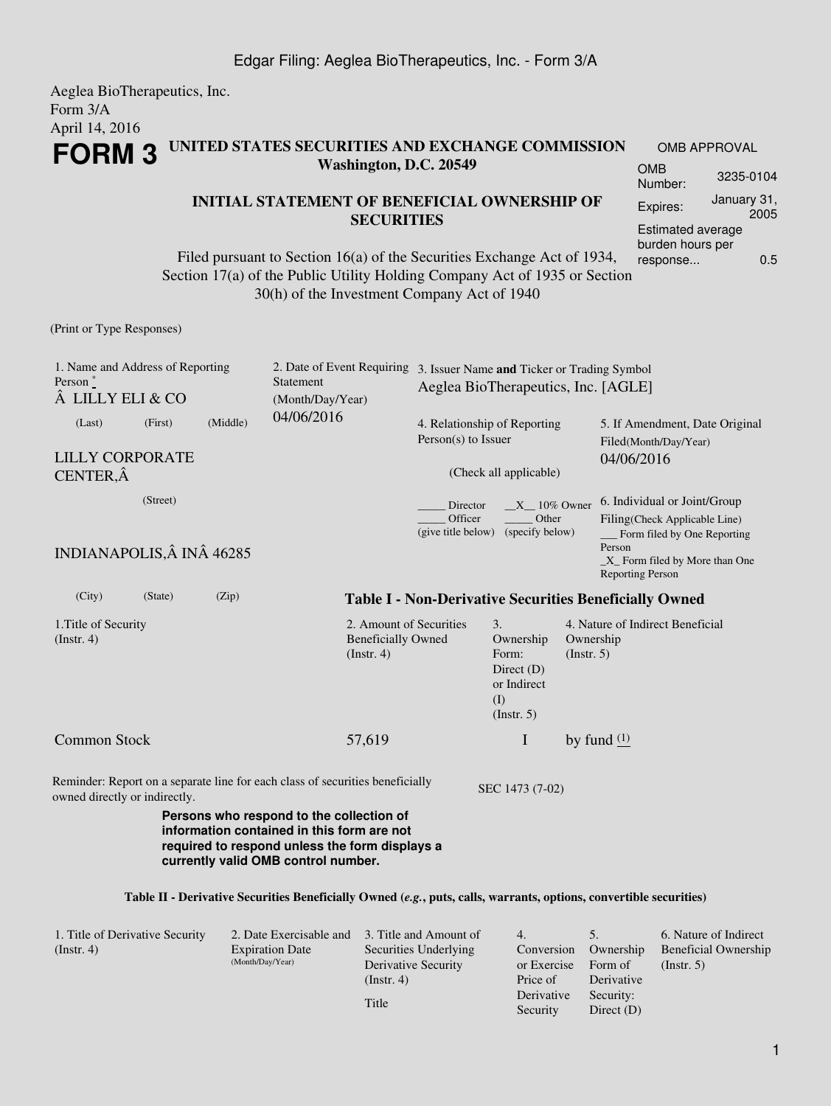#### Aeglea BioTherapeutics, Inc. Form 3/A April 14, 2016 **FORM 3 UNITED STATES SECURITIES AND EXCHANGE COMMISSION Washington, D.C. 20549** OMB APPROVAL OMB Number: 3235-0104

## **INITIAL STATEMENT OF BENEFICIAL OWNERSHIP OF SECURITIES**

Filed pursuant to Section 16(a) of the Securities Exchange Act of 1934, Section 17(a) of the Public Utility Holding Company Act of 1935 or Section 30(h) of the Investment Company Act of 1940

(Print or Type Responses)

| 1. Name and Address of Reporting<br>Person $*$<br>LILLY ELI & CO                                                                                                                                                                                           |                                                                                                       |          | Statement<br>(Month/Day/Year)                                       | 2. Date of Event Requiring 3. Issuer Name and Ticker or Trading Symbol<br>Aeglea BioTherapeutics, Inc. [AGLE] |                                                                                             |                                                                                                        |                                                               |  |  |
|------------------------------------------------------------------------------------------------------------------------------------------------------------------------------------------------------------------------------------------------------------|-------------------------------------------------------------------------------------------------------|----------|---------------------------------------------------------------------|---------------------------------------------------------------------------------------------------------------|---------------------------------------------------------------------------------------------|--------------------------------------------------------------------------------------------------------|---------------------------------------------------------------|--|--|
| (Last)                                                                                                                                                                                                                                                     | (First)                                                                                               | (Middle) | 04/06/2016<br>4. Relationship of Reporting<br>Person(s) to Issuer   |                                                                                                               |                                                                                             |                                                                                                        | 5. If Amendment, Date Original<br>Filed(Month/Day/Year)       |  |  |
| <b>LILLY CORPORATE</b><br>CENTER, Â                                                                                                                                                                                                                        |                                                                                                       |          |                                                                     |                                                                                                               | (Check all applicable)                                                                      | 04/06/2016                                                                                             |                                                               |  |  |
|                                                                                                                                                                                                                                                            | (Street)<br>$X = 10\%$ Owner<br>Director<br>Other<br>Officer<br>(give title below)<br>(specify below) |          |                                                                     |                                                                                                               |                                                                                             | 6. Individual or Joint/Group<br>Filing(Check Applicable Line)<br>Form filed by One Reporting<br>Person |                                                               |  |  |
| INDIANAPOLIS, Â INÂ 46285                                                                                                                                                                                                                                  |                                                                                                       |          |                                                                     |                                                                                                               |                                                                                             |                                                                                                        | _X_ Form filed by More than One<br><b>Reporting Person</b>    |  |  |
| (City)                                                                                                                                                                                                                                                     | (State)                                                                                               | (Zip)    |                                                                     |                                                                                                               |                                                                                             |                                                                                                        | <b>Table I - Non-Derivative Securities Beneficially Owned</b> |  |  |
| 1. Title of Security<br>(Insert. 4)                                                                                                                                                                                                                        |                                                                                                       |          | 2. Amount of Securities<br><b>Beneficially Owned</b><br>(Insert. 4) |                                                                                                               | $\mathfrak{Z}$ .<br>Ownership<br>Form:<br>Direct $(D)$<br>or Indirect<br>(I)<br>(Insert. 5) | Ownership<br>(Insert. 5)                                                                               | 4. Nature of Indirect Beneficial                              |  |  |
| <b>Common Stock</b>                                                                                                                                                                                                                                        |                                                                                                       |          | 57,619                                                              |                                                                                                               | I                                                                                           |                                                                                                        | by fund $(1)$                                                 |  |  |
| Reminder: Report on a separate line for each class of securities beneficially<br>owned directly or indirectly.<br>Persons who respond to the collection of<br>information contained in this form are not<br>required to respond unless the form displays a |                                                                                                       |          |                                                                     | SEC 1473 (7-02)                                                                                               |                                                                                             |                                                                                                        |                                                               |  |  |
|                                                                                                                                                                                                                                                            |                                                                                                       |          | currently valid OMB control number.                                 |                                                                                                               |                                                                                             |                                                                                                        |                                                               |  |  |

#### **Table II - Derivative Securities Beneficially Owned (***e.g.***, puts, calls, warrants, options, convertible securities)**

| 1. Title of Derivative Security | 2. Date Exercisable and 3. Title and Amount of |                       | 4.          |              | 6. Nature of Indirect       |
|---------------------------------|------------------------------------------------|-----------------------|-------------|--------------|-----------------------------|
| $($ Instr. 4 $)$                | <b>Expiration Date</b>                         | Securities Underlying | Conversion  | Ownership    | <b>Beneficial Ownership</b> |
|                                 | (Month/Day/Year)                               | Derivative Security   | or Exercise | Form of      | $($ Instr. 5 $)$            |
|                                 |                                                | $($ Instr. 4 $)$      | Price of    | Derivative   |                             |
|                                 |                                                |                       | Derivative  | Security:    |                             |
|                                 |                                                | Title                 | Security    | Direct $(D)$ |                             |

Expires: January 31,

Estimated average burden hours per response... 0.5

2005